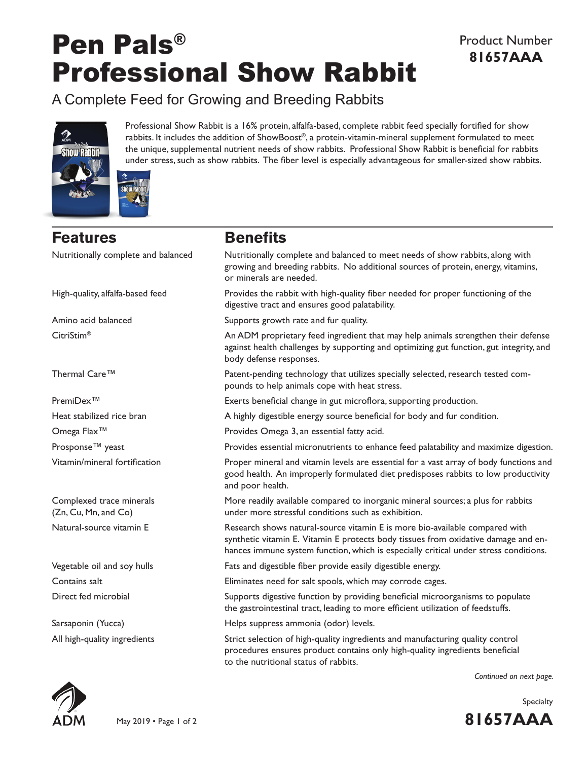# Pen Pals® Professional Show Rabbit

A Complete Feed for Growing and Breeding Rabbits



Professional Show Rabbit is a 16% protein, alfalfa-based, complete rabbit feed specially fortified for show rabbits. It includes the addition of ShowBoost®, a protein-vitamin-mineral supplement formulated to meet the unique, supplemental nutrient needs of show rabbits. Professional Show Rabbit is beneficial for rabbits under stress, such as show rabbits. The fiber level is especially advantageous for smaller-sized show rabbits.

## **Features Benefits**

Nutritionally complete and balanced Nutritionally complete and balanced to meet needs of show rabbits, along with growing and breeding rabbits. No additional sources of protein, energy, vitamins, or minerals are needed. High-quality, alfalfa-based feed Provides the rabbit with high-quality fiber needed for proper functioning of the digestive tract and ensures good palatability. Amino acid balanced Supports growth rate and fur quality. CitriStim® An ADM proprietary feed ingredient that may help animals strengthen their defense against health challenges by supporting and optimizing gut function, gut integrity, and body defense responses. Thermal Care™ Patent-pending technology that utilizes specially selected, research tested compounds to help animals cope with heat stress. PremiDex™ Exerts beneficial change in gut microflora, supporting production. Heat stabilized rice bran **A** highly digestible energy source beneficial for body and fur condition. Omega Flax™ Provides Omega 3, an essential fatty acid. Prosponse™ yeast extended a Provides essential micronutrients to enhance feed palatability and maximize digestion. Vitamin/mineral fortification Proper mineral and vitamin levels are essential for a vast array of body functions and good health. An improperly formulated diet predisposes rabbits to low productivity and poor health. Complexed trace minerals More readily available compared to inorganic mineral sources; a plus for rabbits (Zn, Cu, Mn, and Co) under more stressful conditions such as exhibition. Natural-source vitamin E Research shows natural-source vitamin E is more bio-available compared with synthetic vitamin E. Vitamin E protects body tissues from oxidative damage and enhances immune system function, which is especially critical under stress conditions. Vegetable oil and soy hulls Fats and digestible fiber provide easily digestible energy. Contains salt Eliminates need for salt spools, which may corrode cages. Direct fed microbial Supports digestive function by providing beneficial microorganisms to populate the gastrointestinal tract, leading to more efficient utilization of feedstuffs. Sarsaponin (Yucca) Helps suppress ammonia (odor) levels.

All high-quality ingredients Strict selection of high-quality ingredients and manufacturing quality control procedures ensures product contains only high-quality ingredients beneficial to the nutritional status of rabbits.

*Continued on next page.*